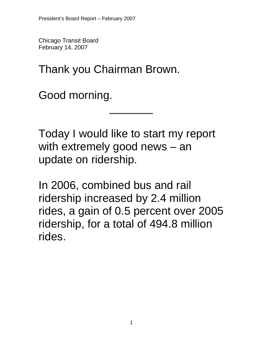Chicago Transit Board February 14, 2007

Thank you Chairman Brown.

Good morning.

Today I would like to start my report with extremely good news – an update on ridership.

\_\_\_\_\_\_\_

In 2006, combined bus and rail ridership increased by 2.4 million rides, a gain of 0.5 percent over 2005 ridership, for a total of 494.8 million rides.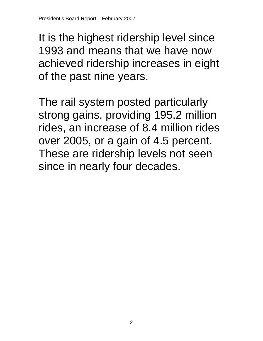It is the highest ridership level since 1993 and means that we have now achieved ridership increases in eight of the past nine years.

The rail system posted particularly strong gains, providing 195.2 million rides, an increase of 8.4 million rides over 2005, or a gain of 4.5 percent. These are ridership levels not seen since in nearly four decades.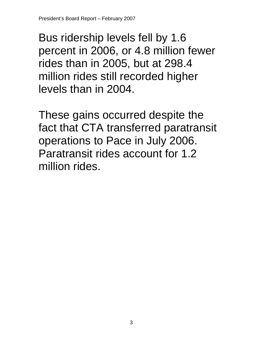Bus ridership levels fell by 1.6 percent in 2006, or 4.8 million fewer rides than in 2005, but at 298.4 million rides still recorded higher levels than in 2004.

These gains occurred despite the fact that CTA transferred paratransit operations to Pace in July 2006. Paratransit rides account for 1.2 million rides.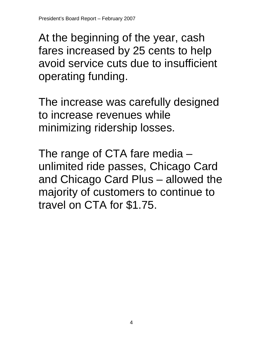At the beginning of the year, cash fares increased by 25 cents to help avoid service cuts due to insufficient operating funding.

The increase was carefully designed to increase revenues while minimizing ridership losses.

The range of CTA fare media – unlimited ride passes, Chicago Card and Chicago Card Plus – allowed the majority of customers to continue to travel on CTA for \$1.75.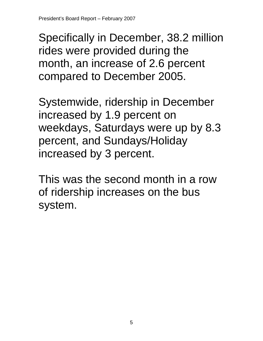Specifically in December, 38.2 million rides were provided during the month, an increase of 2.6 percent compared to December 2005.

Systemwide, ridership in December increased by 1.9 percent on weekdays, Saturdays were up by 8.3 percent, and Sundays/Holiday increased by 3 percent.

This was the second month in a row of ridership increases on the bus system.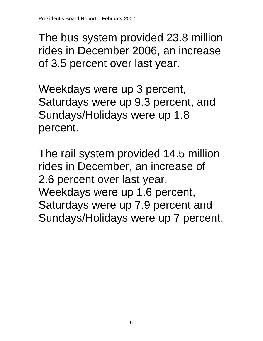The bus system provided 23.8 million rides in December 2006, an increase of 3.5 percent over last year.

Weekdays were up 3 percent, Saturdays were up 9.3 percent, and Sundays/Holidays were up 1.8 percent.

The rail system provided 14.5 million rides in December, an increase of 2.6 percent over last year. Weekdays were up 1.6 percent, Saturdays were up 7.9 percent and Sundays/Holidays were up 7 percent.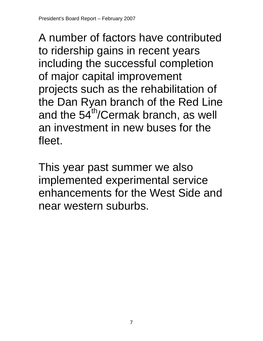A number of factors have contributed to ridership gains in recent years including the successful completion of major capital improvement projects such as the rehabilitation of the Dan Ryan branch of the Red Line and the  $54<sup>th</sup>/Cermak branch, as well$ an investment in new buses for the fleet.

This year past summer we also implemented experimental service enhancements for the West Side and near western suburbs.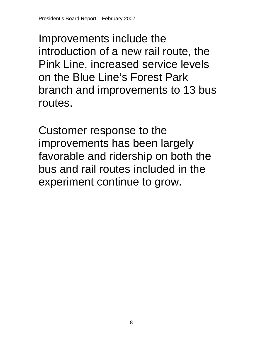Improvements include the introduction of a new rail route, the Pink Line, increased service levels on the Blue Line's Forest Park branch and improvements to 13 bus routes.

Customer response to the improvements has been largely favorable and ridership on both the bus and rail routes included in the experiment continue to grow.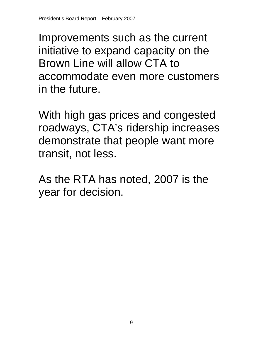Improvements such as the current initiative to expand capacity on the Brown Line will allow CTA to accommodate even more customers in the future.

With high gas prices and congested roadways, CTA's ridership increases demonstrate that people want more transit, not less.

As the RTA has noted, 2007 is the year for decision.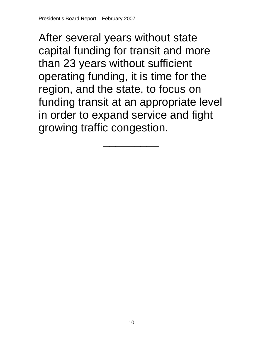After several years without state capital funding for transit and more than 23 years without sufficient operating funding, it is time for the region, and the state, to focus on funding transit at an appropriate level in order to expand service and fight growing traffic congestion.

 $\overline{\phantom{a}}$   $\overline{\phantom{a}}$   $\overline{\phantom{a}}$   $\overline{\phantom{a}}$   $\overline{\phantom{a}}$   $\overline{\phantom{a}}$   $\overline{\phantom{a}}$   $\overline{\phantom{a}}$   $\overline{\phantom{a}}$   $\overline{\phantom{a}}$   $\overline{\phantom{a}}$   $\overline{\phantom{a}}$   $\overline{\phantom{a}}$   $\overline{\phantom{a}}$   $\overline{\phantom{a}}$   $\overline{\phantom{a}}$   $\overline{\phantom{a}}$   $\overline{\phantom{a}}$   $\overline{\$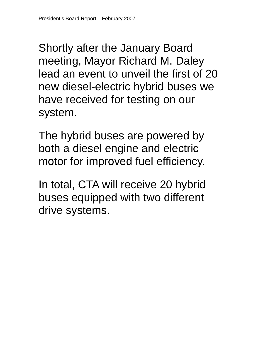Shortly after the January Board meeting, Mayor Richard M. Daley lead an event to unveil the first of 20 new diesel-electric hybrid buses we have received for testing on our system.

The hybrid buses are powered by both a diesel engine and electric motor for improved fuel efficiency.

In total, CTA will receive 20 hybrid buses equipped with two different drive systems.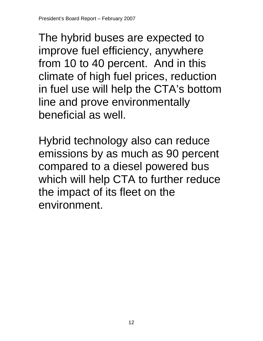The hybrid buses are expected to improve fuel efficiency, anywhere from 10 to 40 percent. And in this climate of high fuel prices, reduction in fuel use will help the CTA's bottom line and prove environmentally beneficial as well.

Hybrid technology also can reduce emissions by as much as 90 percent compared to a diesel powered bus which will help CTA to further reduce the impact of its fleet on the environment.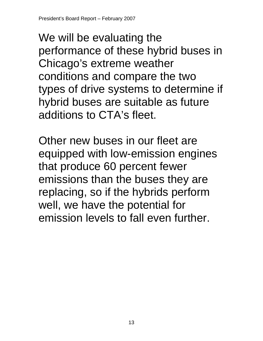We will be evaluating the performance of these hybrid buses in Chicago's extreme weather conditions and compare the two types of drive systems to determine if hybrid buses are suitable as future additions to CTA's fleet.

Other new buses in our fleet are equipped with low-emission engines that produce 60 percent fewer emissions than the buses they are replacing, so if the hybrids perform well, we have the potential for emission levels to fall even further.